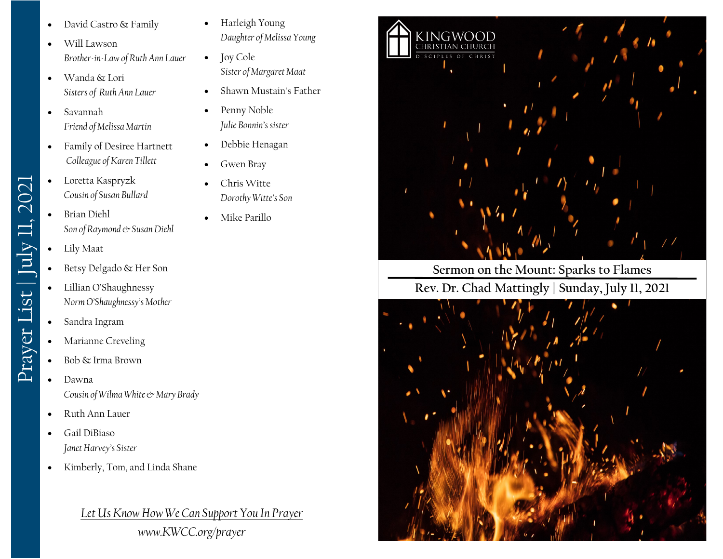- David Castro & Family
- Will Lawson *Brother-in-Law of Ruth Ann Lauer*
- Wanda & Lori *Sisters of Ruth Ann Lauer*
- Savannah *Friend of Melissa Martin*
- Family of Desiree Hartnett *Colleague of Karen Tillett*
- Loretta Kaspryzk *Cousin of Susan Bullard*
- Brian Diehl *Son of Raymond & Susan Diehl*
- Lily Maat

Prayer List | July 11, 2021

Prayer List | July 11, 2021

- Betsy Delgado & Her Son
- Lillian O'Shaughnessy *Norm O'Shaughnessy's Mother*
- Sandra Ingram
- Marianne Creveling
- Bob & Irma Brown
- Dawna *Cousin of Wilma White & Mary Brady*
- Ruth Ann Lauer
- Gail DiBiaso *Janet Harvey's Sister*
- Kimberly, Tom, and Linda Shane

*Let Us Know How We Can Support You In Prayer www.KWCC.org/prayer*

- Harleigh Young *Daughter of Melissa Young*
- Joy Cole *Sister of Margaret Maat*
- Shawn Mustain's Father
- Penny Noble *Julie Bonnin's sister*
- Debbie Henagan
- Gwen Bray
- Chris Witte *Dorothy Witte's Son*
- Mike Parillo



## **Sermon on the Mount: Sparks to Flames Rev. Dr. Chad Mattingly | Sunday, July 11, 2021**